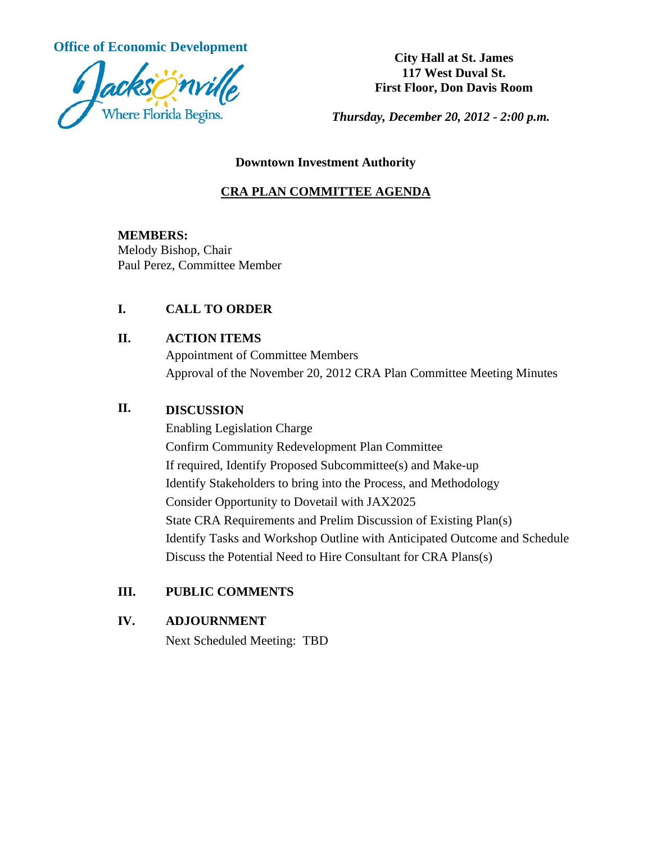**Office of Economic Development**<br> **City Hall at St. James** 



**117 West Duval St. First Floor, Don Davis Room**

*Thursday, December 20, 2012 - 2:00 p.m.*

#### **Downtown Investment Authority**

## **CRA PLAN COMMITTEE AGENDA**

#### **MEMBERS:**

Melody Bishop, Chair Paul Perez, Committee Member

### **I. CALL TO ORDER**

### **II. ACTION ITEMS**

Appointment of Committee Members Approval of the November 20, 2012 CRA Plan Committee Meeting Minutes

# **II. DISCUSSION**

Enabling Legislation Charge Confirm Community Redevelopment Plan Committee If required, Identify Proposed Subcommittee(s) and Make-up Identify Stakeholders to bring into the Process, and Methodology Consider Opportunity to Dovetail with JAX2025 State CRA Requirements and Prelim Discussion of Existing Plan(s) Identify Tasks and Workshop Outline with Anticipated Outcome and Schedule Discuss the Potential Need to Hire Consultant for CRA Plans(s)

# **III. PUBLIC COMMENTS**

### **IV. ADJOURNMENT**

Next Scheduled Meeting: TBD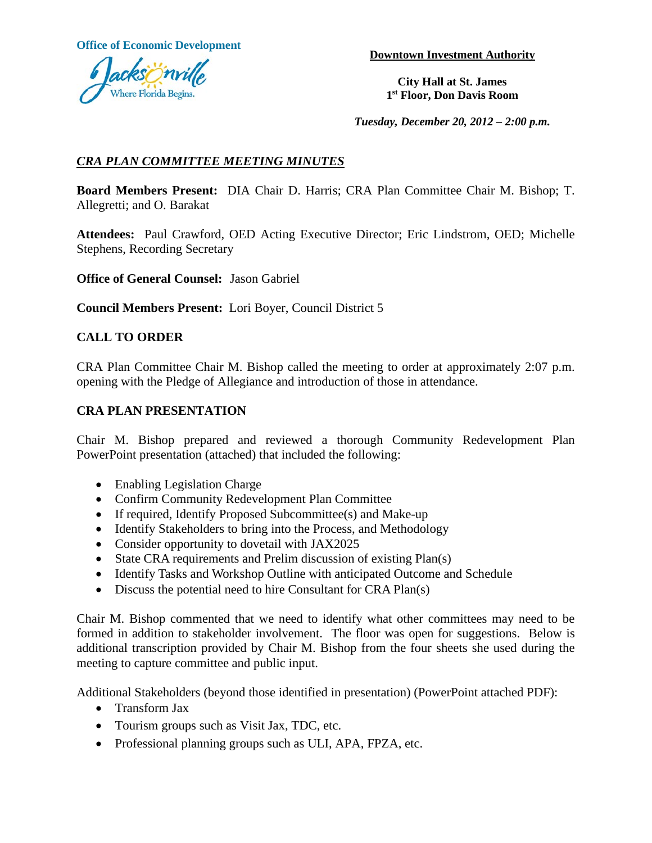**Office of Economic Development Downtown Investment Authority** 



**City Hall at St. James 1st Floor, Don Davis Room**

*Tuesday, December 20, 2012 – 2:00 p.m.*

# *CRA PLAN COMMITTEE MEETING MINUTES*

**Board Members Present:** DIA Chair D. Harris; CRA Plan Committee Chair M. Bishop; T. Allegretti; and O. Barakat

**Attendees:** Paul Crawford, OED Acting Executive Director; Eric Lindstrom, OED; Michelle Stephens, Recording Secretary

**Office of General Counsel:** Jason Gabriel

**Council Members Present:** Lori Boyer, Council District 5

### **CALL TO ORDER**

CRA Plan Committee Chair M. Bishop called the meeting to order at approximately 2:07 p.m. opening with the Pledge of Allegiance and introduction of those in attendance.

#### **CRA PLAN PRESENTATION**

Chair M. Bishop prepared and reviewed a thorough Community Redevelopment Plan PowerPoint presentation (attached) that included the following:

- Enabling Legislation Charge
- Confirm Community Redevelopment Plan Committee
- If required, Identify Proposed Subcommittee(s) and Make-up
- Identify Stakeholders to bring into the Process, and Methodology
- Consider opportunity to dovetail with JAX2025
- State CRA requirements and Prelim discussion of existing Plan(s)
- Identify Tasks and Workshop Outline with anticipated Outcome and Schedule
- Discuss the potential need to hire Consultant for CRA Plan(s)

Chair M. Bishop commented that we need to identify what other committees may need to be formed in addition to stakeholder involvement. The floor was open for suggestions. Below is additional transcription provided by Chair M. Bishop from the four sheets she used during the meeting to capture committee and public input.

Additional Stakeholders (beyond those identified in presentation) (PowerPoint attached PDF):

- Transform Jax
- Tourism groups such as Visit Jax, TDC, etc.
- Professional planning groups such as ULI, APA, FPZA, etc.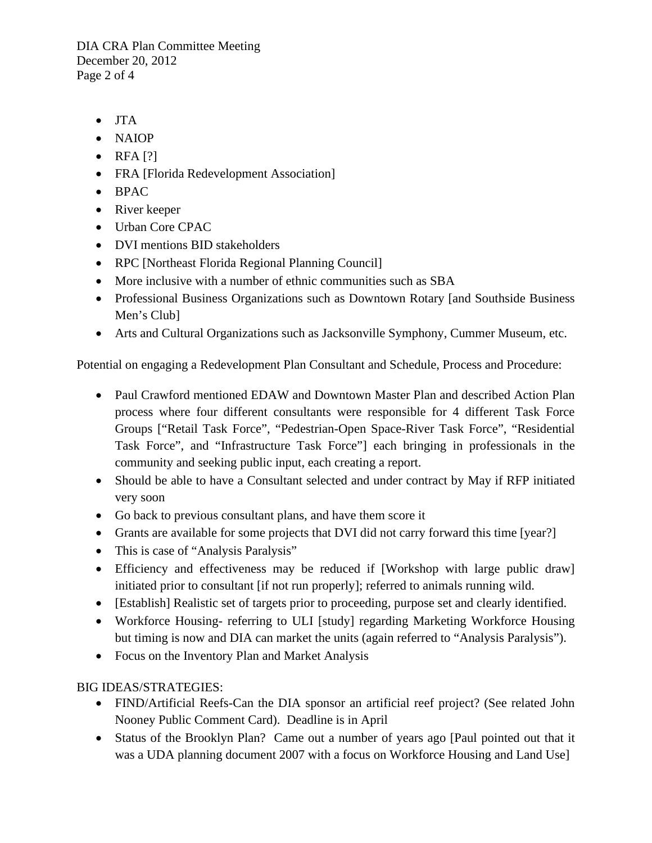DIA CRA Plan Committee Meeting December 20, 2012 Page 2 of 4

- JTA
- NAIOP
- RFA $[?]$
- FRA [Florida Redevelopment Association]
- BPAC
- River keeper
- Urban Core CPAC
- DVI mentions BID stakeholders
- RPC [Northeast Florida Regional Planning Council]
- More inclusive with a number of ethnic communities such as SBA
- Professional Business Organizations such as Downtown Rotary [and Southside Business Men's Club]
- Arts and Cultural Organizations such as Jacksonville Symphony, Cummer Museum, etc.

Potential on engaging a Redevelopment Plan Consultant and Schedule, Process and Procedure:

- Paul Crawford mentioned EDAW and Downtown Master Plan and described Action Plan process where four different consultants were responsible for 4 different Task Force Groups ["Retail Task Force", "Pedestrian-Open Space-River Task Force", "Residential Task Force", and "Infrastructure Task Force"] each bringing in professionals in the community and seeking public input, each creating a report.
- Should be able to have a Consultant selected and under contract by May if RFP initiated very soon
- Go back to previous consultant plans, and have them score it
- Grants are available for some projects that DVI did not carry forward this time [year?]
- This is case of "Analysis Paralysis"
- Efficiency and effectiveness may be reduced if [Workshop with large public draw] initiated prior to consultant [if not run properly]; referred to animals running wild.
- [Establish] Realistic set of targets prior to proceeding, purpose set and clearly identified.
- Workforce Housing- referring to ULI [study] regarding Marketing Workforce Housing but timing is now and DIA can market the units (again referred to "Analysis Paralysis").
- Focus on the Inventory Plan and Market Analysis

### BIG IDEAS/STRATEGIES:

- FIND/Artificial Reefs-Can the DIA sponsor an artificial reef project? (See related John Nooney Public Comment Card). Deadline is in April
- Status of the Brooklyn Plan? Came out a number of years ago [Paul pointed out that it was a UDA planning document 2007 with a focus on Workforce Housing and Land Use]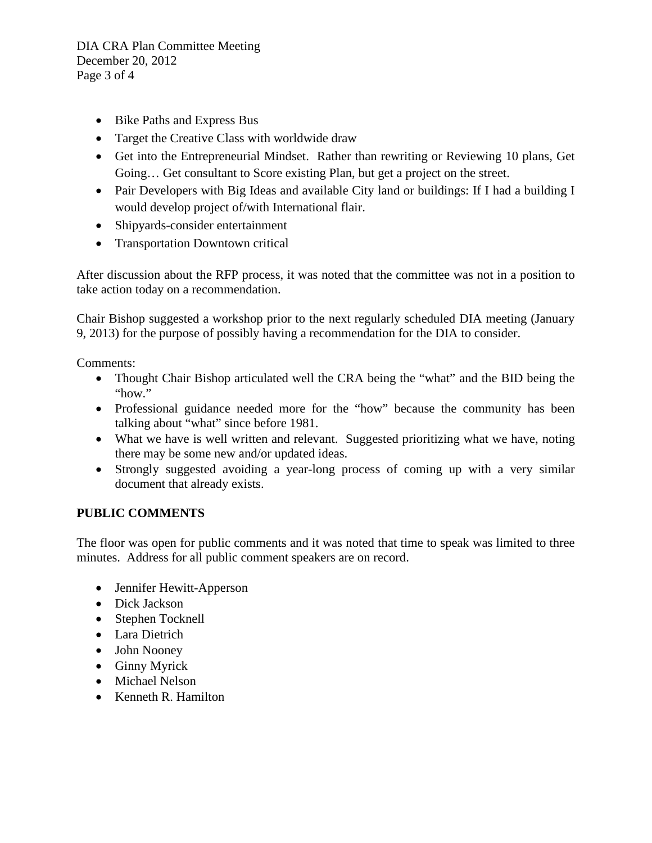DIA CRA Plan Committee Meeting December 20, 2012 Page 3 of 4

- Bike Paths and Express Bus
- Target the Creative Class with worldwide draw
- Get into the Entrepreneurial Mindset. Rather than rewriting or Reviewing 10 plans, Get Going… Get consultant to Score existing Plan, but get a project on the street.
- Pair Developers with Big Ideas and available City land or buildings: If I had a building I would develop project of/with International flair.
- Shipyards-consider entertainment
- Transportation Downtown critical

After discussion about the RFP process, it was noted that the committee was not in a position to take action today on a recommendation.

Chair Bishop suggested a workshop prior to the next regularly scheduled DIA meeting (January 9, 2013) for the purpose of possibly having a recommendation for the DIA to consider.

Comments:

- Thought Chair Bishop articulated well the CRA being the "what" and the BID being the "how."
- Professional guidance needed more for the "how" because the community has been talking about "what" since before 1981.
- What we have is well written and relevant. Suggested prioritizing what we have, noting there may be some new and/or updated ideas.
- Strongly suggested avoiding a year-long process of coming up with a very similar document that already exists.

### **PUBLIC COMMENTS**

The floor was open for public comments and it was noted that time to speak was limited to three minutes. Address for all public comment speakers are on record.

- Jennifer Hewitt-Apperson
- Dick Jackson
- Stephen Tocknell
- Lara Dietrich
- John Nooney
- Ginny Myrick
- Michael Nelson
- Kenneth R. Hamilton